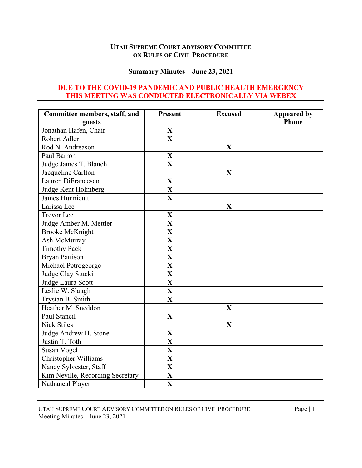## **UTAH SUPREME COURT ADVISORY COMMITTEE ON RULES OF CIVIL PROCEDURE**

#### **Summary Minutes – June 23, 2021**

## **DUE TO THE COVID-19 PANDEMIC AND PUBLIC HEALTH EMERGENCY THIS MEETING WAS CONDUCTED ELECTRONICALLY VIA WEBEX**

| Committee members, staff, and    | <b>Present</b>          | <b>Excused</b> | <b>Appeared by</b><br><b>Phone</b> |
|----------------------------------|-------------------------|----------------|------------------------------------|
| guests                           |                         |                |                                    |
| Jonathan Hafen, Chair            | X                       |                |                                    |
| Robert Adler                     | $\overline{\mathbf{X}}$ |                |                                    |
| Rod N. Andreason                 |                         | $\mathbf X$    |                                    |
| Paul Barron                      | X                       |                |                                    |
| Judge James T. Blanch            | $\overline{\mathbf{X}}$ |                |                                    |
| Jacqueline Carlton               |                         | X              |                                    |
| Lauren DiFrancesco               | X                       |                |                                    |
| Judge Kent Holmberg              | $\mathbf{X}$            |                |                                    |
| James Hunnicutt                  | $\overline{\mathbf{X}}$ |                |                                    |
| Larissa Lee                      |                         | $\mathbf X$    |                                    |
| <b>Trevor</b> Lee                | X                       |                |                                    |
| Judge Amber M. Mettler           | $\overline{\mathbf{X}}$ |                |                                    |
| <b>Brooke McKnight</b>           | $\overline{\mathbf{X}}$ |                |                                    |
| Ash McMurray                     | $\overline{\mathbf{X}}$ |                |                                    |
| <b>Timothy Pack</b>              | $\overline{\mathbf{X}}$ |                |                                    |
| <b>Bryan Pattison</b>            | $\overline{\mathbf{X}}$ |                |                                    |
| Michael Petrogeorge              | $\overline{\mathbf{X}}$ |                |                                    |
| Judge Clay Stucki                | $\overline{\mathbf{X}}$ |                |                                    |
| Judge Laura Scott                | $\overline{\mathbf{X}}$ |                |                                    |
| Leslie W. Slaugh                 | $\overline{\mathbf{X}}$ |                |                                    |
| Trystan B. Smith                 | X                       |                |                                    |
| Heather M. Sneddon               |                         | X              |                                    |
| Paul Stancil                     | $\mathbf{X}$            |                |                                    |
| <b>Nick Stiles</b>               |                         | $\mathbf X$    |                                    |
| Judge Andrew H. Stone            | X                       |                |                                    |
| Justin T. Toth                   | X                       |                |                                    |
| Susan Vogel                      | $\mathbf{X}$            |                |                                    |
| Christopher Williams             | X                       |                |                                    |
| Nancy Sylvester, Staff           | $\overline{\mathbf{X}}$ |                |                                    |
| Kim Neville, Recording Secretary | X                       |                |                                    |
| Nathaneal Player                 | $\overline{\mathbf{X}}$ |                |                                    |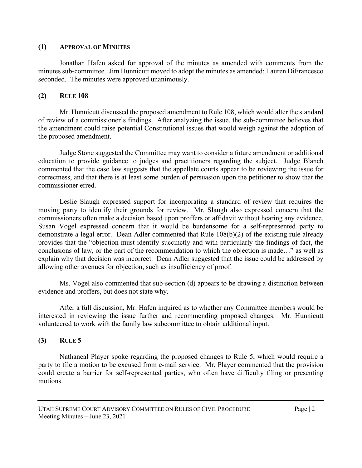#### **(1) APPROVAL OF MINUTES**

Jonathan Hafen asked for approval of the minutes as amended with comments from the minutes sub-committee. Jim Hunnicutt moved to adopt the minutes as amended; Lauren DiFrancesco seconded. The minutes were approved unanimously.

## **(2) RULE 108**

Mr. Hunnicutt discussed the proposed amendment to Rule 108, which would alter the standard of review of a commissioner's findings. After analyzing the issue, the sub-committee believes that the amendment could raise potential Constitutional issues that would weigh against the adoption of the proposed amendment.

Judge Stone suggested the Committee may want to consider a future amendment or additional education to provide guidance to judges and practitioners regarding the subject. Judge Blanch commented that the case law suggests that the appellate courts appear to be reviewing the issue for correctness, and that there is at least some burden of persuasion upon the petitioner to show that the commissioner erred.

Leslie Slaugh expressed support for incorporating a standard of review that requires the moving party to identify their grounds for review. Mr. Slaugh also expressed concern that the commissioners often make a decision based upon proffers or affidavit without hearing any evidence. Susan Vogel expressed concern that it would be burdensome for a self-represented party to demonstrate a legal error. Dean Adler commented that Rule 108(b)(2) of the existing rule already provides that the "objection must identify succinctly and with particularly the findings of fact, the conclusions of law, or the part of the recommendation to which the objection is made…" as well as explain why that decision was incorrect. Dean Adler suggested that the issue could be addressed by allowing other avenues for objection, such as insufficiency of proof.

Ms. Vogel also commented that sub-section (d) appears to be drawing a distinction between evidence and proffers, but does not state why.

After a full discussion, Mr. Hafen inquired as to whether any Committee members would be interested in reviewing the issue further and recommending proposed changes. Mr. Hunnicutt volunteered to work with the family law subcommittee to obtain additional input.

## **(3) RULE 5**

Nathaneal Player spoke regarding the proposed changes to Rule 5, which would require a party to file a motion to be excused from e-mail service. Mr. Player commented that the provision could create a barrier for self-represented parties, who often have difficulty filing or presenting motions.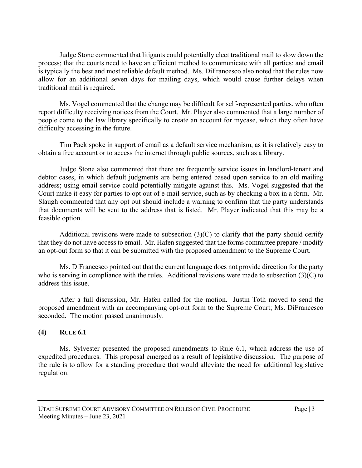Judge Stone commented that litigants could potentially elect traditional mail to slow down the process; that the courts need to have an efficient method to communicate with all parties; and email is typically the best and most reliable default method. Ms. DiFrancesco also noted that the rules now allow for an additional seven days for mailing days, which would cause further delays when traditional mail is required.

Ms. Vogel commented that the change may be difficult for self-represented parties, who often report difficulty receiving notices from the Court. Mr. Player also commented that a large number of people come to the law library specifically to create an account for mycase, which they often have difficulty accessing in the future.

Tim Pack spoke in support of email as a default service mechanism, as it is relatively easy to obtain a free account or to access the internet through public sources, such as a library.

Judge Stone also commented that there are frequently service issues in landlord-tenant and debtor cases, in which default judgments are being entered based upon service to an old mailing address; using email service could potentially mitigate against this. Ms. Vogel suggested that the Court make it easy for parties to opt out of e-mail service, such as by checking a box in a form. Mr. Slaugh commented that any opt out should include a warning to confirm that the party understands that documents will be sent to the address that is listed. Mr. Player indicated that this may be a feasible option.

Additional revisions were made to subsection  $(3)(C)$  to clarify that the party should certify that they do not have access to email. Mr. Hafen suggested that the forms committee prepare / modify an opt-out form so that it can be submitted with the proposed amendment to the Supreme Court.

Ms. DiFrancesco pointed out that the current language does not provide direction for the party who is serving in compliance with the rules. Additional revisions were made to subsection (3)(C) to address this issue.

After a full discussion, Mr. Hafen called for the motion. Justin Toth moved to send the proposed amendment with an accompanying opt-out form to the Supreme Court; Ms. DiFrancesco seconded. The motion passed unanimously.

# **(4) RULE 6.1**

Ms. Sylvester presented the proposed amendments to Rule 6.1, which address the use of expedited procedures. This proposal emerged as a result of legislative discussion. The purpose of the rule is to allow for a standing procedure that would alleviate the need for additional legislative regulation.